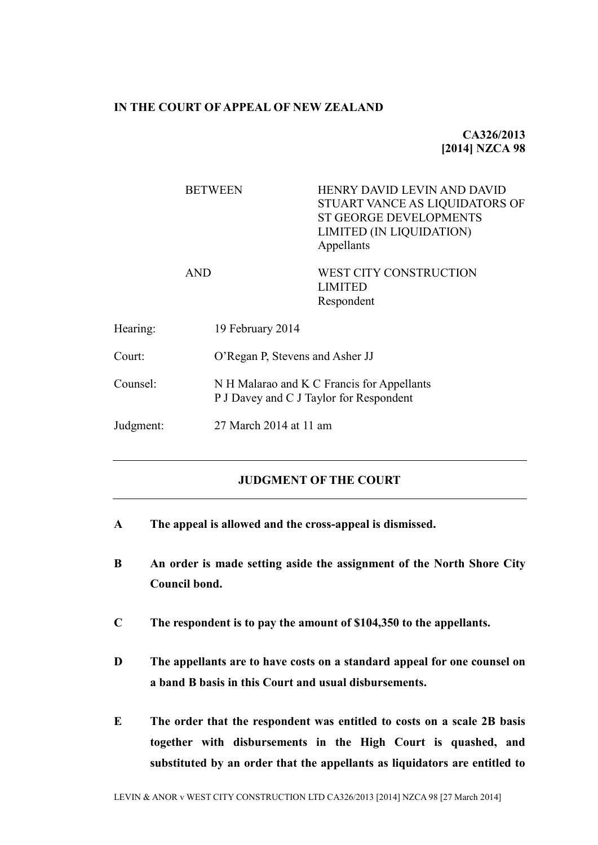#### **IN THE COURT OF APPEAL OF NEW ZEALAND**

# **CA326/2013 [2014] NZCA 98**

|           | <b>BETWEEN</b>   | HENRY DAVID LEVIN AND DAVID<br>STUART VANCE AS LIQUIDATORS OF<br><b>ST GEORGE DEVELOPMENTS</b><br>LIMITED (IN LIQUIDATION)<br>Appellants |  |
|-----------|------------------|------------------------------------------------------------------------------------------------------------------------------------------|--|
|           | <b>AND</b>       | WEST CITY CONSTRUCTION<br><b>LIMITED</b><br>Respondent                                                                                   |  |
| Hearing:  | 19 February 2014 |                                                                                                                                          |  |
| Court:    |                  | O'Regan P, Stevens and Asher JJ                                                                                                          |  |
| Counsel:  |                  | N H Malarao and K C Francis for Appellants<br>P J Davey and C J Taylor for Respondent                                                    |  |
| Judgment: |                  | 27 March 2014 at 11 am                                                                                                                   |  |
|           |                  |                                                                                                                                          |  |

## **JUDGMENT OF THE COURT**

- **A The appeal is allowed and the cross-appeal is dismissed.**
- **B An order is made setting aside the assignment of the North Shore City Council bond.**
- **C The respondent is to pay the amount of \$104,350 to the appellants.**
- **D The appellants are to have costs on a standard appeal for one counsel on a band B basis in this Court and usual disbursements.**
- **E The order that the respondent was entitled to costs on a scale 2B basis together with disbursements in the High Court is quashed, and substituted by an order that the appellants as liquidators are entitled to**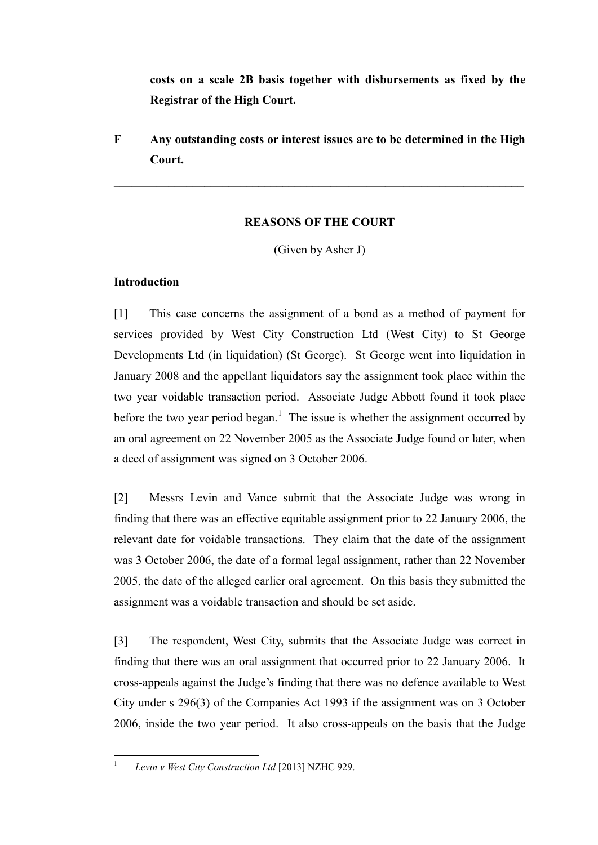**costs on a scale 2B basis together with disbursements as fixed by the Registrar of the High Court.** 

**F Any outstanding costs or interest issues are to be determined in the High Court.**

 $\mathcal{L}_\mathcal{L} = \mathcal{L}_\mathcal{L} = \mathcal{L}_\mathcal{L} = \mathcal{L}_\mathcal{L} = \mathcal{L}_\mathcal{L} = \mathcal{L}_\mathcal{L} = \mathcal{L}_\mathcal{L} = \mathcal{L}_\mathcal{L} = \mathcal{L}_\mathcal{L} = \mathcal{L}_\mathcal{L} = \mathcal{L}_\mathcal{L} = \mathcal{L}_\mathcal{L} = \mathcal{L}_\mathcal{L} = \mathcal{L}_\mathcal{L} = \mathcal{L}_\mathcal{L} = \mathcal{L}_\mathcal{L} = \mathcal{L}_\mathcal{L}$ 

# **REASONS OF THE COURT**

(Given by Asher J)

# **Introduction**

[1] This case concerns the assignment of a bond as a method of payment for services provided by West City Construction Ltd (West City) to St George Developments Ltd (in liquidation) (St George). St George went into liquidation in January 2008 and the appellant liquidators say the assignment took place within the two year voidable transaction period. Associate Judge Abbott found it took place before the two year period began.<sup>1</sup> The issue is whether the assignment occurred by an oral agreement on 22 November 2005 as the Associate Judge found or later, when a deed of assignment was signed on 3 October 2006.

[2] Messrs Levin and Vance submit that the Associate Judge was wrong in finding that there was an effective equitable assignment prior to 22 January 2006, the relevant date for voidable transactions. They claim that the date of the assignment was 3 October 2006, the date of a formal legal assignment, rather than 22 November 2005, the date of the alleged earlier oral agreement. On this basis they submitted the assignment was a voidable transaction and should be set aside.

[3] The respondent, West City, submits that the Associate Judge was correct in finding that there was an oral assignment that occurred prior to 22 January 2006. It cross-appeals against the Judge's finding that there was no defence available to West City under s 296(3) of the Companies Act 1993 if the assignment was on 3 October 2006, inside the two year period. It also cross-appeals on the basis that the Judge

 $\frac{1}{1}$ 

*Levin v West City Construction Ltd* [2013] NZHC 929.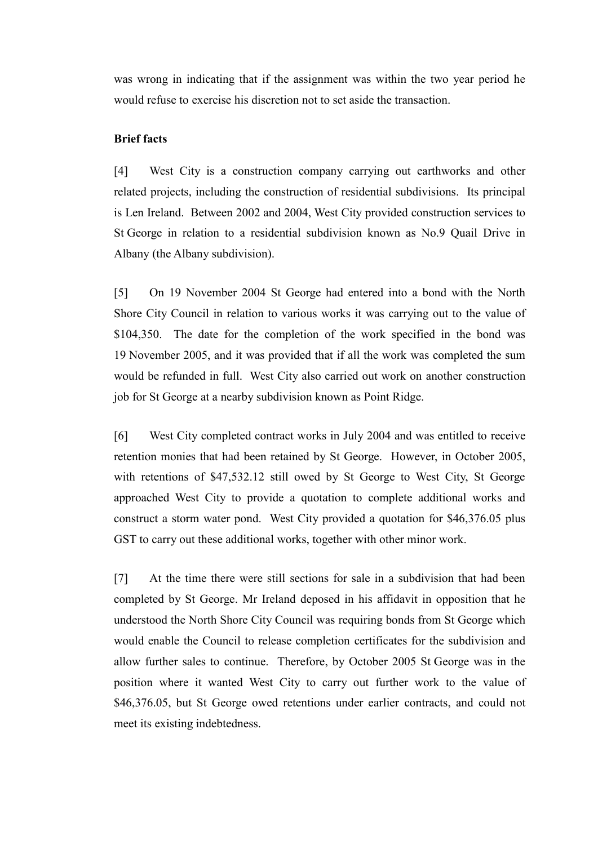was wrong in indicating that if the assignment was within the two year period he would refuse to exercise his discretion not to set aside the transaction.

### **Brief facts**

[4] West City is a construction company carrying out earthworks and other related projects, including the construction of residential subdivisions. Its principal is Len Ireland. Between 2002 and 2004, West City provided construction services to St George in relation to a residential subdivision known as No.9 Quail Drive in Albany (the Albany subdivision).

[5] On 19 November 2004 St George had entered into a bond with the North Shore City Council in relation to various works it was carrying out to the value of \$104,350. The date for the completion of the work specified in the bond was 19 November 2005, and it was provided that if all the work was completed the sum would be refunded in full. West City also carried out work on another construction job for St George at a nearby subdivision known as Point Ridge.

[6] West City completed contract works in July 2004 and was entitled to receive retention monies that had been retained by St George. However, in October 2005, with retentions of \$47,532.12 still owed by St George to West City, St George approached West City to provide a quotation to complete additional works and construct a storm water pond. West City provided a quotation for \$46,376.05 plus GST to carry out these additional works, together with other minor work.

[7] At the time there were still sections for sale in a subdivision that had been completed by St George. Mr Ireland deposed in his affidavit in opposition that he understood the North Shore City Council was requiring bonds from St George which would enable the Council to release completion certificates for the subdivision and allow further sales to continue. Therefore, by October 2005 St George was in the position where it wanted West City to carry out further work to the value of \$46,376.05, but St George owed retentions under earlier contracts, and could not meet its existing indebtedness.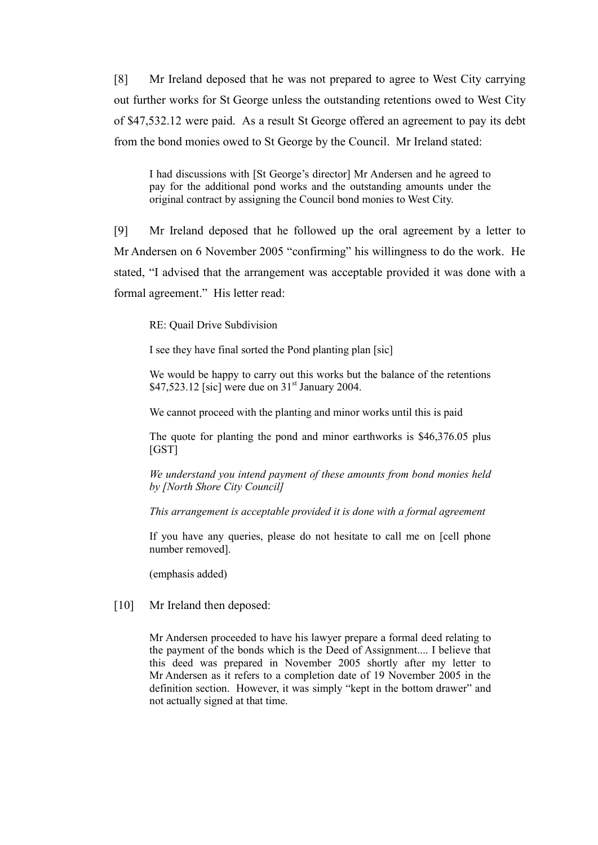[8] Mr Ireland deposed that he was not prepared to agree to West City carrying out further works for St George unless the outstanding retentions owed to West City of \$47,532.12 were paid. As a result St George offered an agreement to pay its debt from the bond monies owed to St George by the Council. Mr Ireland stated:

I had discussions with [St George's director] Mr Andersen and he agreed to pay for the additional pond works and the outstanding amounts under the original contract by assigning the Council bond monies to West City.

[9] Mr Ireland deposed that he followed up the oral agreement by a letter to Mr Andersen on 6 November 2005 "confirming" his willingness to do the work. He stated, "I advised that the arrangement was acceptable provided it was done with a formal agreement." His letter read:

RE: Quail Drive Subdivision

I see they have final sorted the Pond planting plan [sic]

We would be happy to carry out this works but the balance of the retentions  $$47,523.12$  [sic] were due on 31<sup>st</sup> January 2004.

We cannot proceed with the planting and minor works until this is paid

The quote for planting the pond and minor earthworks is \$46,376.05 plus [GST]

*We understand you intend payment of these amounts from bond monies held by [North Shore City Council]*

*This arrangement is acceptable provided it is done with a formal agreement* 

If you have any queries, please do not hesitate to call me on [cell phone number removed].

(emphasis added)

[10] Mr Ireland then deposed:

Mr Andersen proceeded to have his lawyer prepare a formal deed relating to the payment of the bonds which is the Deed of Assignment.... I believe that this deed was prepared in November 2005 shortly after my letter to Mr Andersen as it refers to a completion date of 19 November 2005 in the definition section. However, it was simply "kept in the bottom drawer" and not actually signed at that time.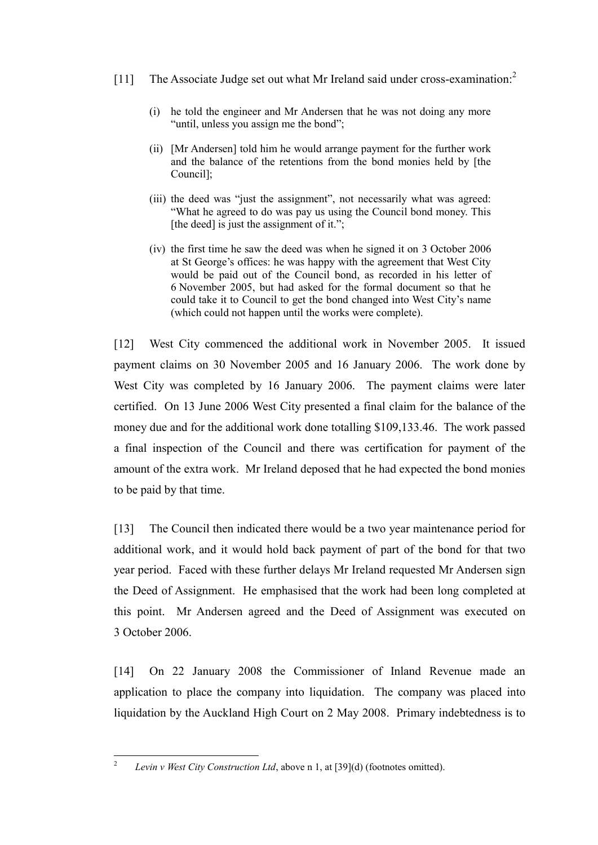- [11] The Associate Judge set out what Mr Ireland said under cross-examination.<sup>2</sup>
	- (i) he told the engineer and Mr Andersen that he was not doing any more "until, unless you assign me the bond";
	- (ii) [Mr Andersen] told him he would arrange payment for the further work and the balance of the retentions from the bond monies held by [the Council];
	- (iii) the deed was "just the assignment", not necessarily what was agreed: "What he agreed to do was pay us using the Council bond money. This [the deed] is just the assignment of it.";
	- (iv) the first time he saw the deed was when he signed it on 3 October 2006 at St George's offices: he was happy with the agreement that West City would be paid out of the Council bond, as recorded in his letter of 6 November 2005, but had asked for the formal document so that he could take it to Council to get the bond changed into West City's name (which could not happen until the works were complete).

[12] West City commenced the additional work in November 2005. It issued payment claims on 30 November 2005 and 16 January 2006. The work done by West City was completed by 16 January 2006. The payment claims were later certified. On 13 June 2006 West City presented a final claim for the balance of the money due and for the additional work done totalling \$109,133.46. The work passed a final inspection of the Council and there was certification for payment of the amount of the extra work. Mr Ireland deposed that he had expected the bond monies to be paid by that time.

[13] The Council then indicated there would be a two year maintenance period for additional work, and it would hold back payment of part of the bond for that two year period. Faced with these further delays Mr Ireland requested Mr Andersen sign the Deed of Assignment. He emphasised that the work had been long completed at this point. Mr Andersen agreed and the Deed of Assignment was executed on 3 October 2006.

[14] On 22 January 2008 the Commissioner of Inland Revenue made an application to place the company into liquidation. The company was placed into liquidation by the Auckland High Court on 2 May 2008. Primary indebtedness is to

 $\frac{1}{2}$ *Levin v West City Construction Ltd*, above n 1, at [39](d) (footnotes omitted).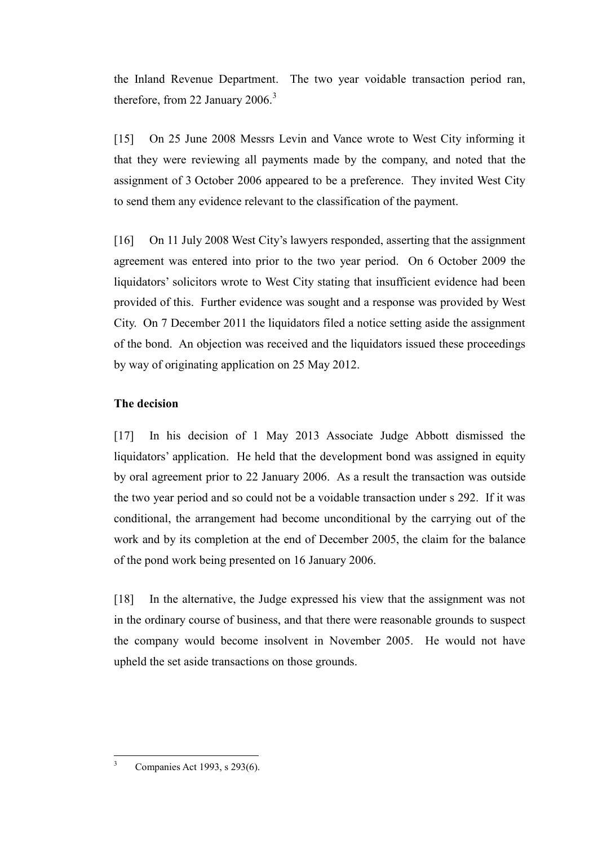the Inland Revenue Department. The two year voidable transaction period ran, therefore, from 22 January 2006. $3$ 

[15] On 25 June 2008 Messrs Levin and Vance wrote to West City informing it that they were reviewing all payments made by the company, and noted that the assignment of 3 October 2006 appeared to be a preference. They invited West City to send them any evidence relevant to the classification of the payment.

[16] On 11 July 2008 West City's lawyers responded, asserting that the assignment agreement was entered into prior to the two year period. On 6 October 2009 the liquidators' solicitors wrote to West City stating that insufficient evidence had been provided of this. Further evidence was sought and a response was provided by West City. On 7 December 2011 the liquidators filed a notice setting aside the assignment of the bond. An objection was received and the liquidators issued these proceedings by way of originating application on 25 May 2012.

## **The decision**

[17] In his decision of 1 May 2013 Associate Judge Abbott dismissed the liquidators' application. He held that the development bond was assigned in equity by oral agreement prior to 22 January 2006. As a result the transaction was outside the two year period and so could not be a voidable transaction under s 292. If it was conditional, the arrangement had become unconditional by the carrying out of the work and by its completion at the end of December 2005, the claim for the balance of the pond work being presented on 16 January 2006.

[18] In the alternative, the Judge expressed his view that the assignment was not in the ordinary course of business, and that there were reasonable grounds to suspect the company would become insolvent in November 2005. He would not have upheld the set aside transactions on those grounds.

Companies Act 1993, s 293(6).

 $\overline{\mathbf{3}}$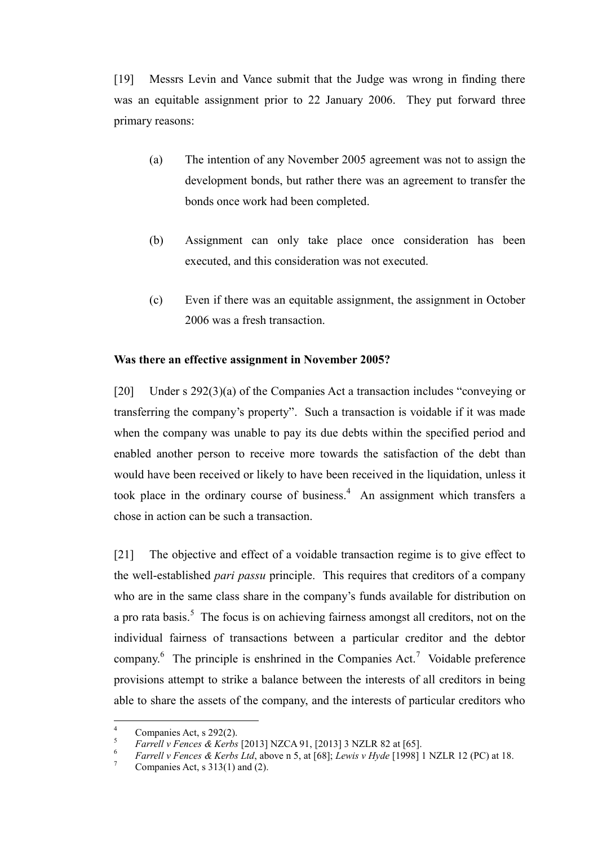[19] Messrs Levin and Vance submit that the Judge was wrong in finding there was an equitable assignment prior to 22 January 2006. They put forward three primary reasons:

- (a) The intention of any November 2005 agreement was not to assign the development bonds, but rather there was an agreement to transfer the bonds once work had been completed.
- (b) Assignment can only take place once consideration has been executed, and this consideration was not executed.
- (c) Even if there was an equitable assignment, the assignment in October 2006 was a fresh transaction.

#### **Was there an effective assignment in November 2005?**

[20] Under s 292(3)(a) of the Companies Act a transaction includes "conveying or transferring the company's property". Such a transaction is voidable if it was made when the company was unable to pay its due debts within the specified period and enabled another person to receive more towards the satisfaction of the debt than would have been received or likely to have been received in the liquidation, unless it took place in the ordinary course of business. 4 An assignment which transfers a chose in action can be such a transaction.

[21] The objective and effect of a voidable transaction regime is to give effect to the well-established *pari passu* principle. This requires that creditors of a company who are in the same class share in the company's funds available for distribution on a pro rata basis.<sup>5</sup> The focus is on achieving fairness amongst all creditors, not on the individual fairness of transactions between a particular creditor and the debtor company.<sup>6</sup> The principle is enshrined in the Companies Act.<sup>7</sup> Voidable preference provisions attempt to strike a balance between the interests of all creditors in being able to share the assets of the company, and the interests of particular creditors who

 $\overline{4}$  $^{4}$  Companies Act, s 292(2).

 $\frac{5}{2}$  *Farrell v Fences & Kerbs* [2013] NZCA 91, [2013] 3 NZLR 82 at [65].

*b Farrell v Fences & Kerbs Ltd*, above n 5, at [68]; *Lewis v Hyde* [1998] 1 NZLR 12 (PC) at 18.

Companies Act, s  $313(1)$  and (2).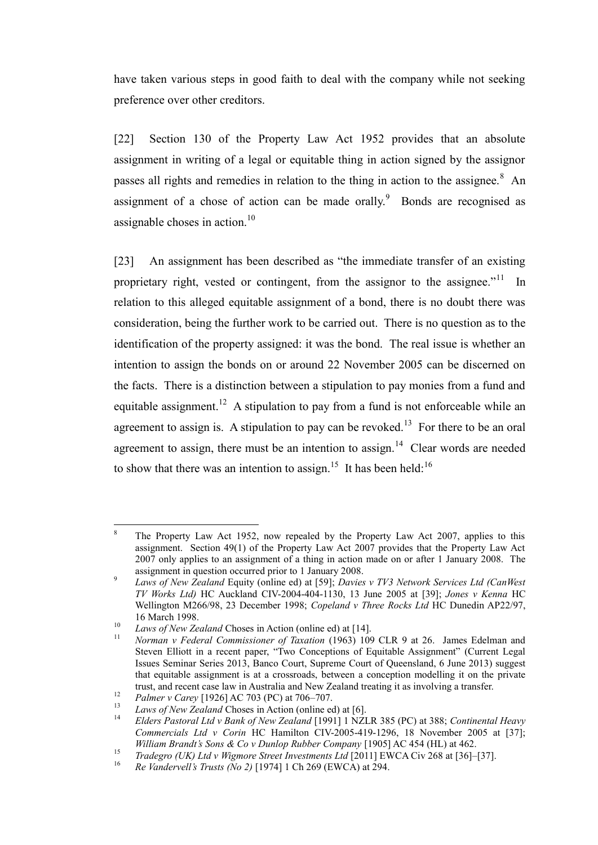have taken various steps in good faith to deal with the company while not seeking preference over other creditors.

[22] Section 130 of the Property Law Act 1952 provides that an absolute assignment in writing of a legal or equitable thing in action signed by the assignor passes all rights and remedies in relation to the thing in action to the assignee. $8$  An assignment of a chose of action can be made orally. $9$  Bonds are recognised as assignable choses in action. $10$ 

[23] An assignment has been described as "the immediate transfer of an existing proprietary right, vested or contingent, from the assignor to the assignee."<sup>11</sup> In relation to this alleged equitable assignment of a bond, there is no doubt there was consideration, being the further work to be carried out. There is no question as to the identification of the property assigned: it was the bond. The real issue is whether an intention to assign the bonds on or around 22 November 2005 can be discerned on the facts. There is a distinction between a stipulation to pay monies from a fund and equitable assignment.<sup>12</sup> A stipulation to pay from a fund is not enforceable while an agreement to assign is. A stipulation to pay can be revoked.<sup>13</sup> For there to be an oral agreement to assign, there must be an intention to assign.<sup>14</sup> Clear words are needed to show that there was an intention to assign.<sup>15</sup> It has been held:<sup>16</sup>

<sup>8</sup> <sup>8</sup> The Property Law Act 1952, now repealed by the Property Law Act 2007, applies to this assignment. Section 49(1) of the Property Law Act 2007 provides that the Property Law Act 2007 only applies to an assignment of a thing in action made on or after 1 January 2008. The assignment in question occurred prior to 1 January 2008.

 $\overline{Q}$ *Laws of New Zealand* Equity (online ed) at [59]; *Davies v TV3 Network Services Ltd (CanWest TV Works Ltd)* HC Auckland CIV-2004-404-1130, 13 June 2005 at [39]; *Jones v Kenna* HC Wellington M266/98, 23 December 1998; *Copeland v Three Rocks Ltd* HC Dunedin AP22/97, 16 March 1998.

<sup>10</sup> *Laws of New Zealand* Choses in Action (online ed) at [14].

<sup>11</sup> *Norman v Federal Commissioner of Taxation* (1963) 109 CLR 9 at 26. James Edelman and Steven Elliott in a recent paper, "Two Conceptions of Equitable Assignment" (Current Legal Issues Seminar Series 2013, Banco Court, Supreme Court of Queensland, 6 June 2013) suggest that equitable assignment is at a crossroads, between a conception modelling it on the private trust, and recent case law in Australia and New Zealand treating it as involving a transfer.

<sup>12</sup> *Palmer v Carey* [1926] AC 703 (PC) at 706–707.

<sup>&</sup>lt;sup>13</sup> *Laws of New Zealand* Choses in Action (online ed) at [6].

<sup>14</sup> *Elders Pastoral Ltd v Bank of New Zealand* [1991] 1 NZLR 385 (PC) at 388; *Continental Heavy Commercials Ltd v Corin* HC Hamilton CIV-2005-419-1296, 18 November 2005 at [37]; *William Brandt's Sons & Co v Dunlop Rubber Company* [1905] AC 454 (HL) at 462.

<sup>15</sup> *Tradegro (UK) Ltd v Wigmore Street Investments Ltd* [2011] EWCA Civ 268 at [36]–[37].

<sup>16</sup> *Re Vandervell's Trusts (No 2)* [1974] 1 Ch 269 (EWCA) at 294.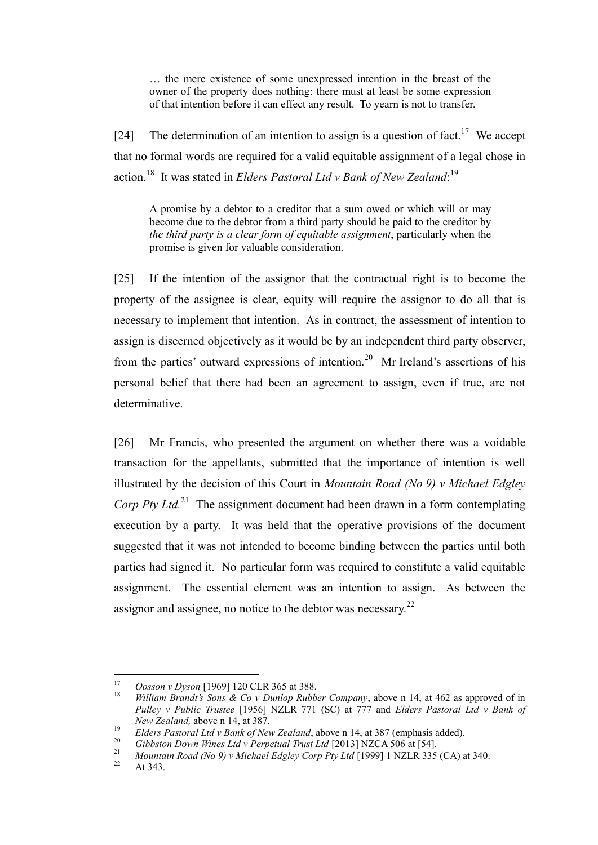… the mere existence of some unexpressed intention in the breast of the owner of the property does nothing: there must at least be some expression of that intention before it can effect any result. To yearn is not to transfer.

[24] The determination of an intention to assign is a question of fact.<sup>17</sup> We accept that no formal words are required for a valid equitable assignment of a legal chose in action.<sup>18</sup> It was stated in *Elders Pastoral Ltd v Bank of New Zealand*:<sup>19</sup>

A promise by a debtor to a creditor that a sum owed or which will or may become due to the debtor from a third party should be paid to the creditor by *the third party is a clear form of equitable assignment*, particularly when the promise is given for valuable consideration.

[25] If the intention of the assignor that the contractual right is to become the property of the assignee is clear, equity will require the assignor to do all that is necessary to implement that intention. As in contract, the assessment of intention to assign is discerned objectively as it would be by an independent third party observer, from the parties' outward expressions of intention.<sup>20</sup> Mr Ireland's assertions of his personal belief that there had been an agreement to assign, even if true, are not determinative.

[26] Mr Francis, who presented the argument on whether there was a voidable transaction for the appellants, submitted that the importance of intention is well illustrated by the decision of this Court in *Mountain Road (No 9) v Michael Edgley Corp Pty Ltd.*<sup>21</sup> The assignment document had been drawn in a form contemplating execution by a party. It was held that the operative provisions of the document suggested that it was not intended to become binding between the parties until both parties had signed it. No particular form was required to constitute a valid equitable assignment. The essential element was an intention to assign. As between the assignor and assignee, no notice to the debtor was necessary. $^{22}$ 

<sup>17</sup> <sup>17</sup> *Oosson v Dyson* [1969] 120 CLR 365 at 388.

<sup>18</sup> *William Brandt's Sons & Co v Dunlop Rubber Company*, above n 14, at 462 as approved of in *Pulley v Public Trustee* [1956] NZLR 771 (SC) at 777 and *Elders Pastoral Ltd v Bank of New Zealand,* above n 14, at 387.

<sup>&</sup>lt;sup>19</sup> *Elders Pastoral Ltd v Bank of New Zealand*, above n 14, at 387 (emphasis added).<br><sup>20</sup> *Citation Down Wines Ltd v Bernetical Trust Ltd* [2012] N7CA 506 et [54]

<sup>&</sup>lt;sup>20</sup> *Gibbston Down Wines Ltd v Perpetual Trust Ltd* [2013] NZCA 506 at [54].

<sup>&</sup>lt;sup>21</sup> *Mountain Road (No 9) v Michael Edgley Corp Pty Ltd* [1999] 1 NZLR 335 (CA) at 340.

At 343.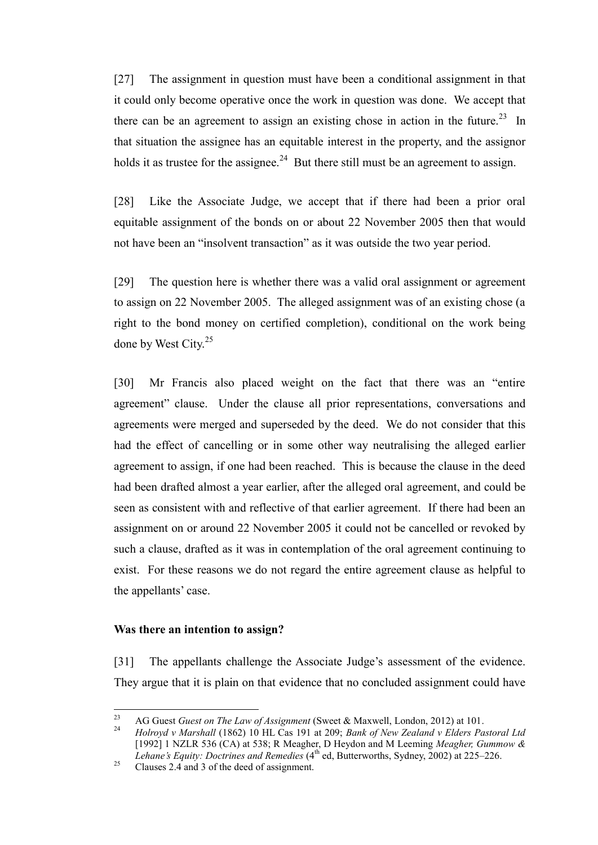[27] The assignment in question must have been a conditional assignment in that it could only become operative once the work in question was done. We accept that there can be an agreement to assign an existing chose in action in the future.<sup>23</sup> In that situation the assignee has an equitable interest in the property, and the assignor holds it as trustee for the assignee.<sup>24</sup> But there still must be an agreement to assign.

[28] Like the Associate Judge, we accept that if there had been a prior oral equitable assignment of the bonds on or about 22 November 2005 then that would not have been an "insolvent transaction" as it was outside the two year period.

[29] The question here is whether there was a valid oral assignment or agreement to assign on 22 November 2005. The alleged assignment was of an existing chose (a right to the bond money on certified completion), conditional on the work being done by West City.<sup>25</sup>

[30] Mr Francis also placed weight on the fact that there was an "entire agreement" clause. Under the clause all prior representations, conversations and agreements were merged and superseded by the deed. We do not consider that this had the effect of cancelling or in some other way neutralising the alleged earlier agreement to assign, if one had been reached. This is because the clause in the deed had been drafted almost a year earlier, after the alleged oral agreement, and could be seen as consistent with and reflective of that earlier agreement. If there had been an assignment on or around 22 November 2005 it could not be cancelled or revoked by such a clause, drafted as it was in contemplation of the oral agreement continuing to exist. For these reasons we do not regard the entire agreement clause as helpful to the appellants' case.

#### **Was there an intention to assign?**

[31] The appellants challenge the Associate Judge's assessment of the evidence. They argue that it is plain on that evidence that no concluded assignment could have

 $23$ <sup>23</sup> AG Guest *Guest on The Law of Assignment* (Sweet & Maxwell, London, 2012) at 101.<br><sup>24</sup> Holmond v Marshall (1862) 10 HJ Cos 191 at 200: Bank of Navy Zealand v Elders Ba

<sup>24</sup> *Holroyd v Marshall* (1862) 10 HL Cas 191 at 209; *Bank of New Zealand v Elders Pastoral Ltd*  [1992] 1 NZLR 536 (CA) at 538; R Meagher, D Heydon and M Leeming *Meagher, Gummow &*  Lehane's Equity: Doctrines and Remedies (4<sup>th</sup> ed, Butterworths, Sydney, 2002) at 225–226.

 $25$  Clauses 2.4 and 3 of the deed of assignment.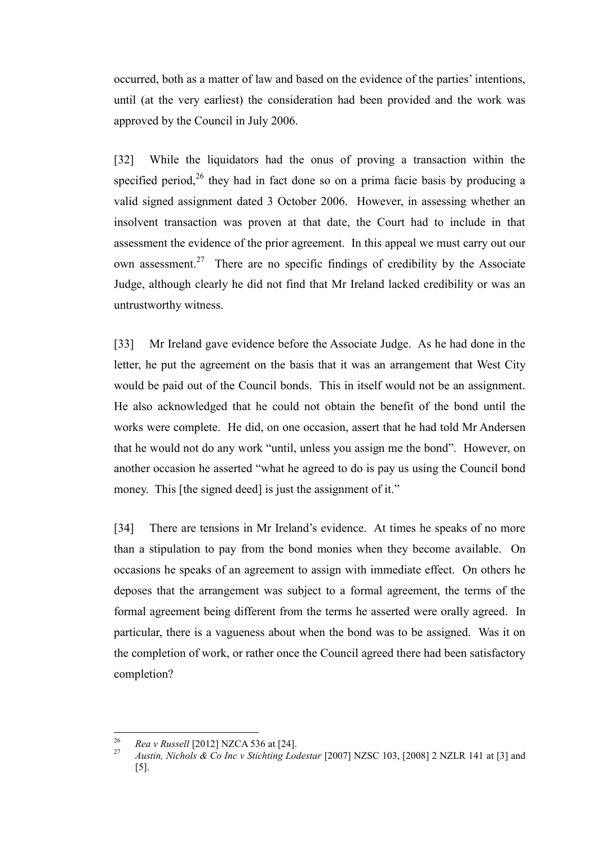occurred, both as a matter of law and based on the evidence of the parties' intentions, until (at the very earliest) the consideration had been provided and the work was approved by the Council in July 2006.

[32] While the liquidators had the onus of proving a transaction within the specified period,<sup>26</sup> they had in fact done so on a prima facie basis by producing a valid signed assignment dated 3 October 2006. However, in assessing whether an insolvent transaction was proven at that date, the Court had to include in that assessment the evidence of the prior agreement. In this appeal we must carry out our own assessment.<sup>27</sup> There are no specific findings of credibility by the Associate Judge, although clearly he did not find that Mr Ireland lacked credibility or was an untrustworthy witness.

[33] Mr Ireland gave evidence before the Associate Judge. As he had done in the letter, he put the agreement on the basis that it was an arrangement that West City would be paid out of the Council bonds. This in itself would not be an assignment. He also acknowledged that he could not obtain the benefit of the bond until the works were complete. He did, on one occasion, assert that he had told Mr Andersen that he would not do any work "until, unless you assign me the bond". However, on another occasion he asserted "what he agreed to do is pay us using the Council bond money. This [the signed deed] is just the assignment of it."

[34] There are tensions in Mr Ireland's evidence. At times he speaks of no more than a stipulation to pay from the bond monies when they become available. On occasions he speaks of an agreement to assign with immediate effect. On others he deposes that the arrangement was subject to a formal agreement, the terms of the formal agreement being different from the terms he asserted were orally agreed. In particular, there is a vagueness about when the bond was to be assigned. Was it on the completion of work, or rather once the Council agreed there had been satisfactory completion?

<sup>26</sup> <sup>26</sup> *Rea v Russell* [2012] NZCA 536 at [24].

<sup>27</sup> *Austin, Nichols & Co Inc v Stichting Lodestar* [2007] NZSC 103, [2008] 2 NZLR 141 at [3] and [5].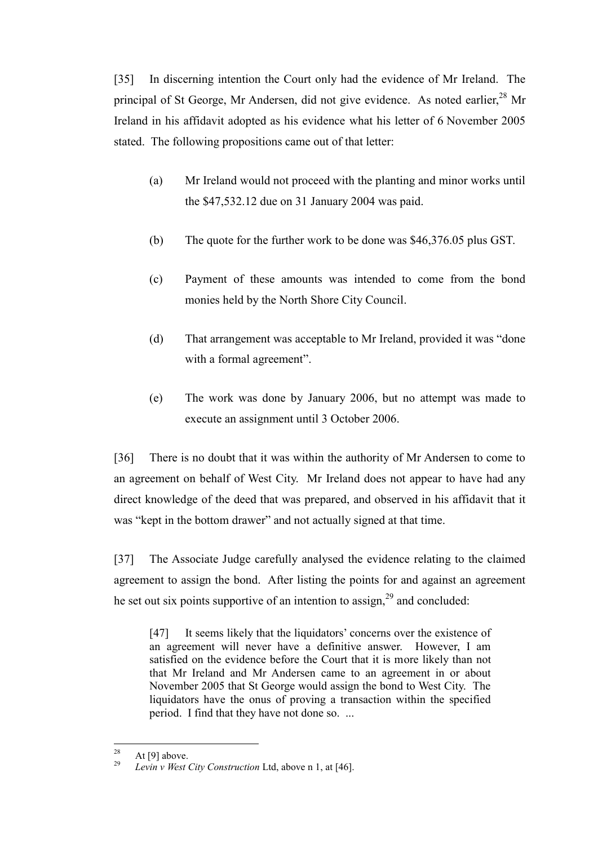[35] In discerning intention the Court only had the evidence of Mr Ireland. The principal of St George, Mr Andersen, did not give evidence. As noted earlier,<sup>28</sup> Mr Ireland in his affidavit adopted as his evidence what his letter of 6 November 2005 stated. The following propositions came out of that letter:

- (a) Mr Ireland would not proceed with the planting and minor works until the \$47,532.12 due on 31 January 2004 was paid.
- (b) The quote for the further work to be done was \$46,376.05 plus GST.
- (c) Payment of these amounts was intended to come from the bond monies held by the North Shore City Council.
- (d) That arrangement was acceptable to Mr Ireland, provided it was "done with a formal agreement".
- (e) The work was done by January 2006, but no attempt was made to execute an assignment until 3 October 2006.

[36] There is no doubt that it was within the authority of Mr Andersen to come to an agreement on behalf of West City. Mr Ireland does not appear to have had any direct knowledge of the deed that was prepared, and observed in his affidavit that it was "kept in the bottom drawer" and not actually signed at that time.

[37] The Associate Judge carefully analysed the evidence relating to the claimed agreement to assign the bond. After listing the points for and against an agreement he set out six points supportive of an intention to assign,<sup>29</sup> and concluded:

[47] It seems likely that the liquidators' concerns over the existence of an agreement will never have a definitive answer. However, I am satisfied on the evidence before the Court that it is more likely than not that Mr Ireland and Mr Andersen came to an agreement in or about November 2005 that St George would assign the bond to West City. The liquidators have the onus of proving a transaction within the specified period. I find that they have not done so. ...

<sup>28</sup>  $\frac{28}{29}$  At [9] above.

Levin v West City Construction Ltd, above n 1, at [46].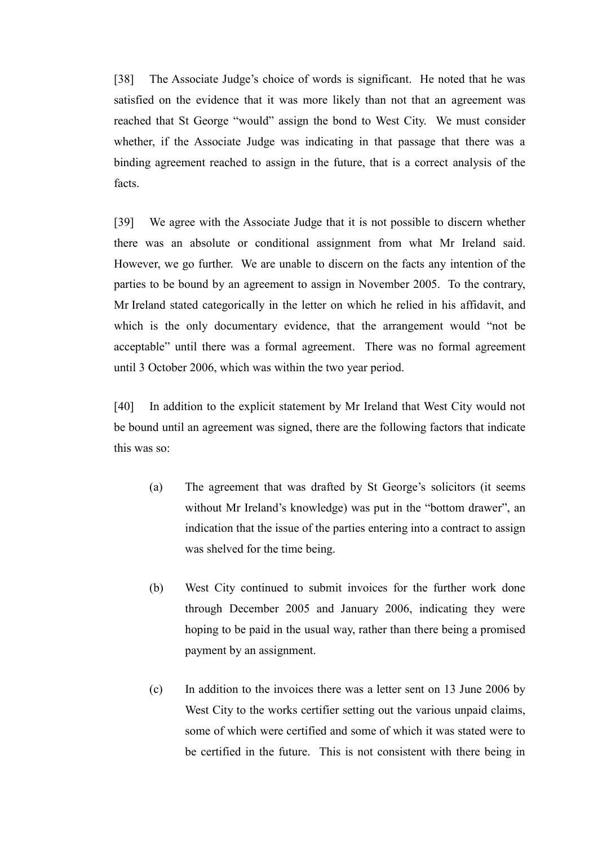[38] The Associate Judge's choice of words is significant. He noted that he was satisfied on the evidence that it was more likely than not that an agreement was reached that St George "would" assign the bond to West City. We must consider whether, if the Associate Judge was indicating in that passage that there was a binding agreement reached to assign in the future, that is a correct analysis of the facts.

[39] We agree with the Associate Judge that it is not possible to discern whether there was an absolute or conditional assignment from what Mr Ireland said. However, we go further. We are unable to discern on the facts any intention of the parties to be bound by an agreement to assign in November 2005. To the contrary, Mr Ireland stated categorically in the letter on which he relied in his affidavit, and which is the only documentary evidence, that the arrangement would "not be acceptable" until there was a formal agreement. There was no formal agreement until 3 October 2006, which was within the two year period.

[40] In addition to the explicit statement by Mr Ireland that West City would not be bound until an agreement was signed, there are the following factors that indicate this was so:

- (a) The agreement that was drafted by St George's solicitors (it seems without Mr Ireland's knowledge) was put in the "bottom drawer", an indication that the issue of the parties entering into a contract to assign was shelved for the time being.
- (b) West City continued to submit invoices for the further work done through December 2005 and January 2006, indicating they were hoping to be paid in the usual way, rather than there being a promised payment by an assignment.
- (c) In addition to the invoices there was a letter sent on 13 June 2006 by West City to the works certifier setting out the various unpaid claims, some of which were certified and some of which it was stated were to be certified in the future. This is not consistent with there being in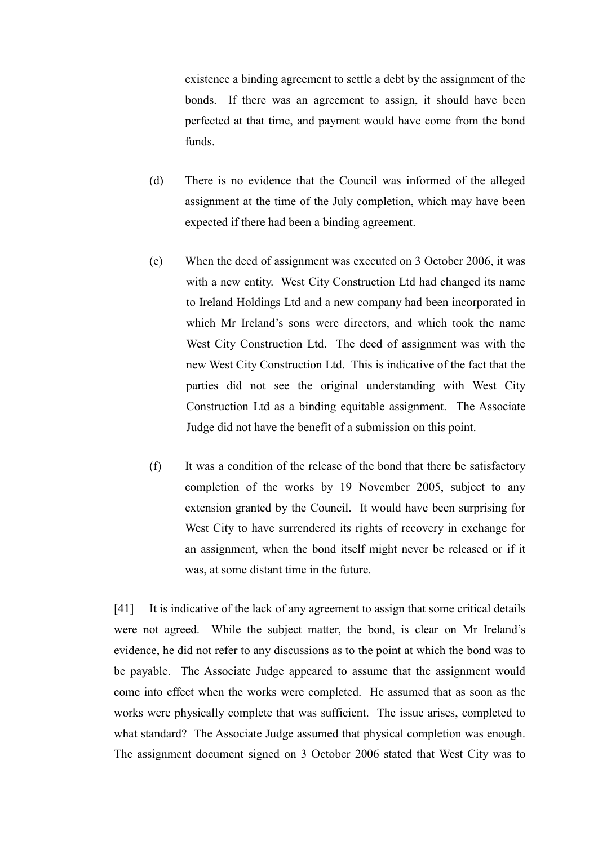existence a binding agreement to settle a debt by the assignment of the bonds. If there was an agreement to assign, it should have been perfected at that time, and payment would have come from the bond funds.

- (d) There is no evidence that the Council was informed of the alleged assignment at the time of the July completion, which may have been expected if there had been a binding agreement.
- (e) When the deed of assignment was executed on 3 October 2006, it was with a new entity. West City Construction Ltd had changed its name to Ireland Holdings Ltd and a new company had been incorporated in which Mr Ireland's sons were directors, and which took the name West City Construction Ltd. The deed of assignment was with the new West City Construction Ltd. This is indicative of the fact that the parties did not see the original understanding with West City Construction Ltd as a binding equitable assignment. The Associate Judge did not have the benefit of a submission on this point.
- (f) It was a condition of the release of the bond that there be satisfactory completion of the works by 19 November 2005, subject to any extension granted by the Council. It would have been surprising for West City to have surrendered its rights of recovery in exchange for an assignment, when the bond itself might never be released or if it was, at some distant time in the future.

[41] It is indicative of the lack of any agreement to assign that some critical details were not agreed. While the subject matter, the bond, is clear on Mr Ireland's evidence, he did not refer to any discussions as to the point at which the bond was to be payable. The Associate Judge appeared to assume that the assignment would come into effect when the works were completed. He assumed that as soon as the works were physically complete that was sufficient. The issue arises, completed to what standard? The Associate Judge assumed that physical completion was enough. The assignment document signed on 3 October 2006 stated that West City was to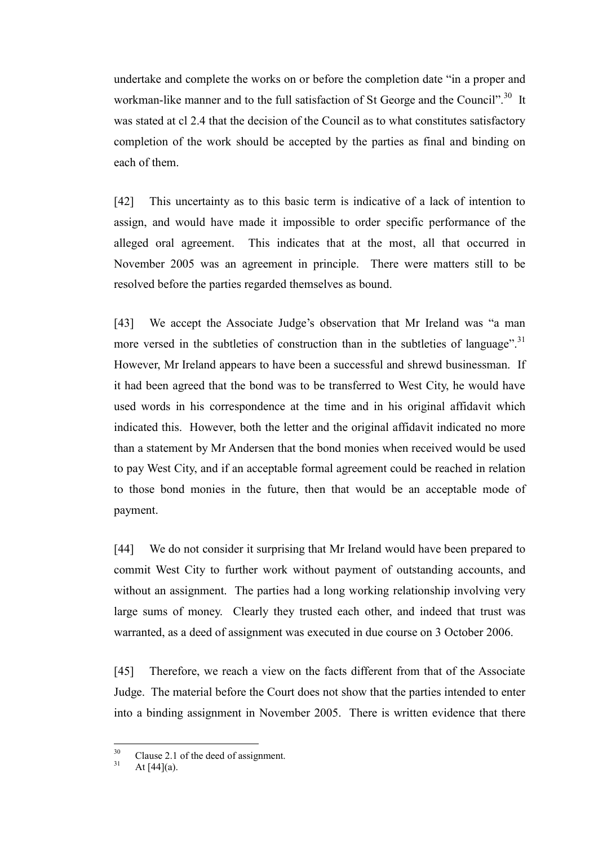undertake and complete the works on or before the completion date "in a proper and workman-like manner and to the full satisfaction of St George and the Council".<sup>30</sup> It was stated at cl 2.4 that the decision of the Council as to what constitutes satisfactory completion of the work should be accepted by the parties as final and binding on each of them.

[42] This uncertainty as to this basic term is indicative of a lack of intention to assign, and would have made it impossible to order specific performance of the alleged oral agreement. This indicates that at the most, all that occurred in November 2005 was an agreement in principle. There were matters still to be resolved before the parties regarded themselves as bound.

[43] We accept the Associate Judge's observation that Mr Ireland was "a man more versed in the subtleties of construction than in the subtleties of language".<sup>31</sup> However, Mr Ireland appears to have been a successful and shrewd businessman. If it had been agreed that the bond was to be transferred to West City, he would have used words in his correspondence at the time and in his original affidavit which indicated this. However, both the letter and the original affidavit indicated no more than a statement by Mr Andersen that the bond monies when received would be used to pay West City, and if an acceptable formal agreement could be reached in relation to those bond monies in the future, then that would be an acceptable mode of payment.

[44] We do not consider it surprising that Mr Ireland would have been prepared to commit West City to further work without payment of outstanding accounts, and without an assignment. The parties had a long working relationship involving very large sums of money. Clearly they trusted each other, and indeed that trust was warranted, as a deed of assignment was executed in due course on 3 October 2006.

[45] Therefore, we reach a view on the facts different from that of the Associate Judge. The material before the Court does not show that the parties intended to enter into a binding assignment in November 2005. There is written evidence that there

 $30^{\circ}$  $^{30}$  Clause 2.1 of the deed of assignment.

At  $[44](a)$ .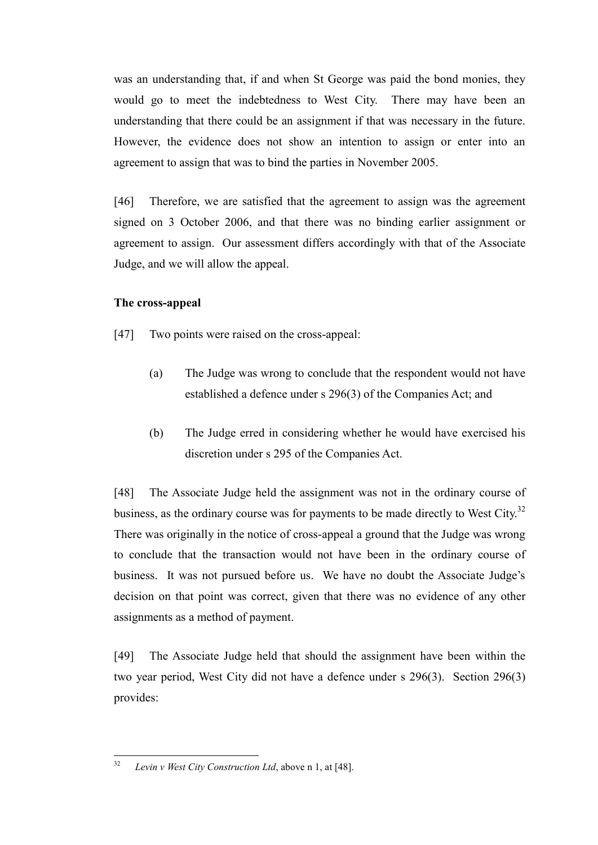was an understanding that, if and when St George was paid the bond monies, they would go to meet the indebtedness to West City. There may have been an understanding that there could be an assignment if that was necessary in the future. However, the evidence does not show an intention to assign or enter into an agreement to assign that was to bind the parties in November 2005.

[46] Therefore, we are satisfied that the agreement to assign was the agreement signed on 3 October 2006, and that there was no binding earlier assignment or agreement to assign. Our assessment differs accordingly with that of the Associate Judge, and we will allow the appeal.

### **The cross-appeal**

- [47] Two points were raised on the cross-appeal:
	- (a) The Judge was wrong to conclude that the respondent would not have established a defence under s 296(3) of the Companies Act; and
	- (b) The Judge erred in considering whether he would have exercised his discretion under s 295 of the Companies Act.

[48] The Associate Judge held the assignment was not in the ordinary course of business, as the ordinary course was for payments to be made directly to West City.<sup>32</sup> There was originally in the notice of cross-appeal a ground that the Judge was wrong to conclude that the transaction would not have been in the ordinary course of business. It was not pursued before us. We have no doubt the Associate Judge's decision on that point was correct, given that there was no evidence of any other assignments as a method of payment.

[49] The Associate Judge held that should the assignment have been within the two year period, West City did not have a defence under s 296(3). Section 296(3) provides:

 $32$ <sup>32</sup> *Levin v West City Construction Ltd*, above n 1, at [48].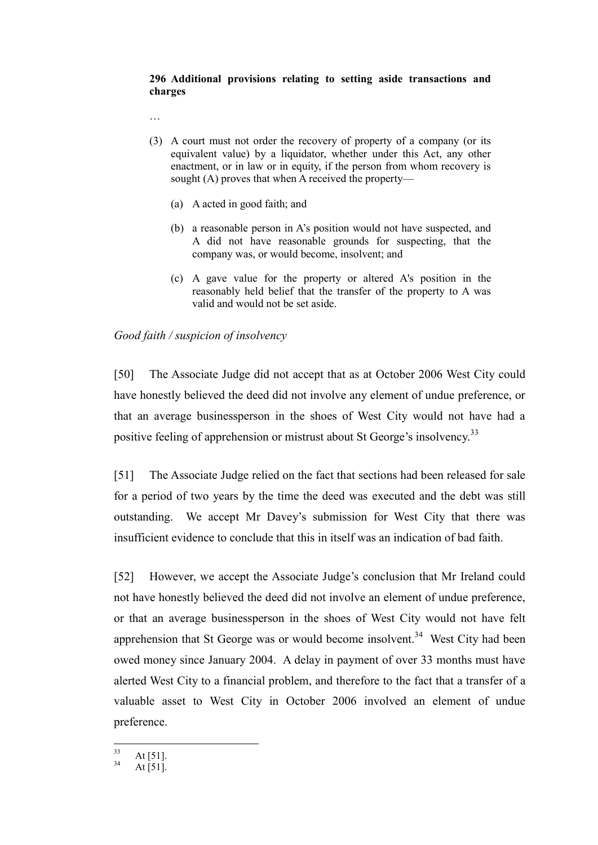#### **296 Additional provisions relating to setting aside transactions and charges**

…

- (3) A court must not order the recovery of property of a company (or its equivalent value) by a liquidator, whether under this Act, any other enactment, or in law or in equity, if the person from whom recovery is sought (A) proves that when A received the property—
	- (a) A acted in good faith; and
	- (b) a reasonable person in A's position would not have suspected, and A did not have reasonable grounds for suspecting, that the company was, or would become, insolvent; and
	- (c) A gave value for the property or altered A's position in the reasonably held belief that the transfer of the property to A was valid and would not be set aside.

## *Good faith / suspicion of insolvency*

[50] The Associate Judge did not accept that as at October 2006 West City could have honestly believed the deed did not involve any element of undue preference, or that an average businessperson in the shoes of West City would not have had a positive feeling of apprehension or mistrust about St George's insolvency.<sup>33</sup>

[51] The Associate Judge relied on the fact that sections had been released for sale for a period of two years by the time the deed was executed and the debt was still outstanding. We accept Mr Davey's submission for West City that there was insufficient evidence to conclude that this in itself was an indication of bad faith.

[52] However, we accept the Associate Judge's conclusion that Mr Ireland could not have honestly believed the deed did not involve an element of undue preference, or that an average businessperson in the shoes of West City would not have felt apprehension that St George was or would become insolvent.<sup>34</sup> West City had been owed money since January 2004. A delay in payment of over 33 months must have alerted West City to a financial problem, and therefore to the fact that a transfer of a valuable asset to West City in October 2006 involved an element of undue preference.

 $33$  $\frac{33}{34}$  At [51].

At  $[51]$ .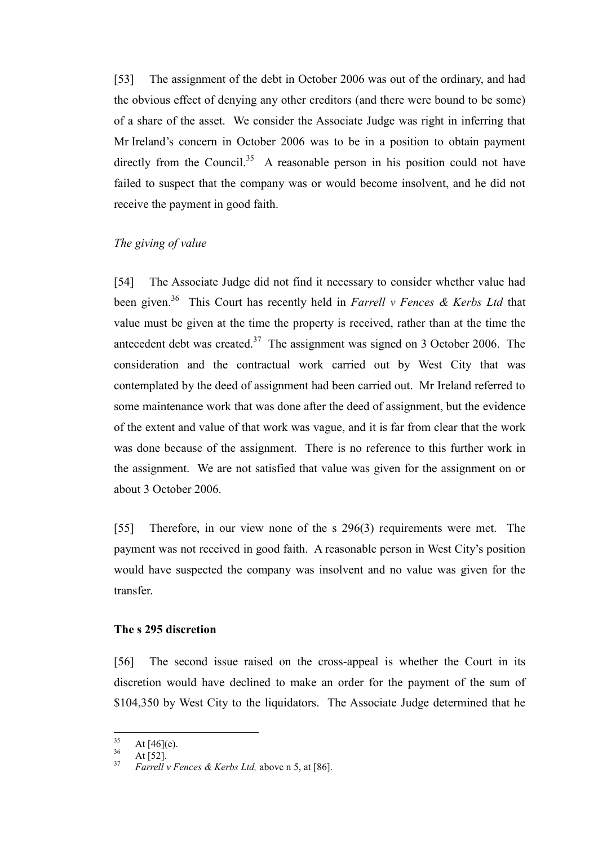[53] The assignment of the debt in October 2006 was out of the ordinary, and had the obvious effect of denying any other creditors (and there were bound to be some) of a share of the asset. We consider the Associate Judge was right in inferring that Mr Ireland's concern in October 2006 was to be in a position to obtain payment directly from the Council.<sup>35</sup> A reasonable person in his position could not have failed to suspect that the company was or would become insolvent, and he did not receive the payment in good faith.

### *The giving of value*

[54] The Associate Judge did not find it necessary to consider whether value had been given.<sup>36</sup> This Court has recently held in *Farrell v Fences & Kerbs Ltd* that value must be given at the time the property is received, rather than at the time the antecedent debt was created.<sup>37</sup> The assignment was signed on 3 October 2006. The consideration and the contractual work carried out by West City that was contemplated by the deed of assignment had been carried out. Mr Ireland referred to some maintenance work that was done after the deed of assignment, but the evidence of the extent and value of that work was vague, and it is far from clear that the work was done because of the assignment. There is no reference to this further work in the assignment. We are not satisfied that value was given for the assignment on or about 3 October 2006.

[55] Therefore, in our view none of the s 296(3) requirements were met. The payment was not received in good faith. A reasonable person in West City's position would have suspected the company was insolvent and no value was given for the transfer.

### **The s 295 discretion**

[56] The second issue raised on the cross-appeal is whether the Court in its discretion would have declined to make an order for the payment of the sum of \$104,350 by West City to the liquidators. The Associate Judge determined that he

<sup>35</sup>  $rac{35}{36}$  At [46](e).

 $\frac{36}{37}$  At [52].

<sup>37</sup> *Farrell v Fences & Kerbs Ltd,* above n 5, at [86].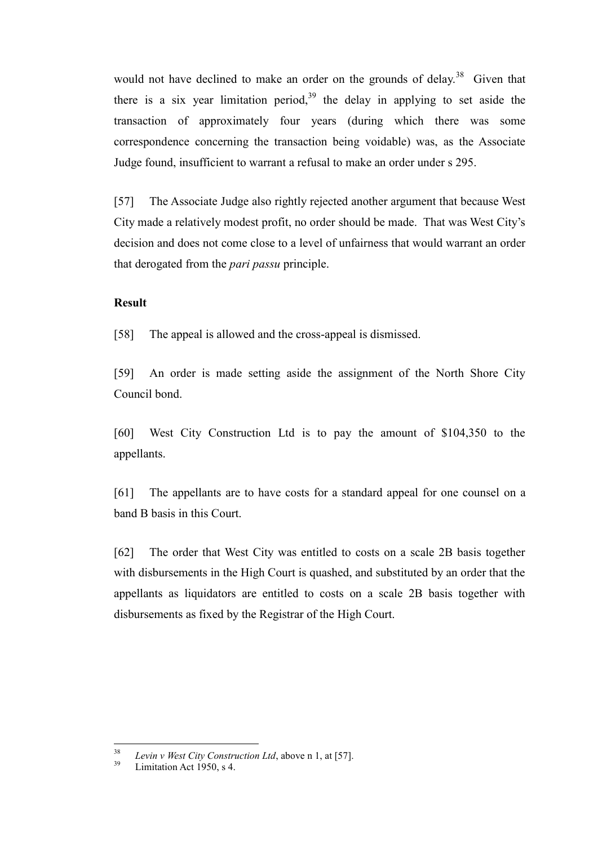would not have declined to make an order on the grounds of delay.<sup>38</sup> Given that there is a six year limitation period,  $39$  the delay in applying to set aside the transaction of approximately four years (during which there was some correspondence concerning the transaction being voidable) was, as the Associate Judge found, insufficient to warrant a refusal to make an order under s 295.

[57] The Associate Judge also rightly rejected another argument that because West City made a relatively modest profit, no order should be made. That was West City's decision and does not come close to a level of unfairness that would warrant an order that derogated from the *pari passu* principle.

## **Result**

[58] The appeal is allowed and the cross-appeal is dismissed.

[59] An order is made setting aside the assignment of the North Shore City Council bond.

[60] West City Construction Ltd is to pay the amount of \$104,350 to the appellants.

[61] The appellants are to have costs for a standard appeal for one counsel on a band B basis in this Court.

[62] The order that West City was entitled to costs on a scale 2B basis together with disbursements in the High Court is quashed, and substituted by an order that the appellants as liquidators are entitled to costs on a scale 2B basis together with disbursements as fixed by the Registrar of the High Court.

<sup>38</sup> <sup>38</sup> *Levin v West City Construction Ltd*, above n 1, at [57].

Limitation Act 1950, s 4.